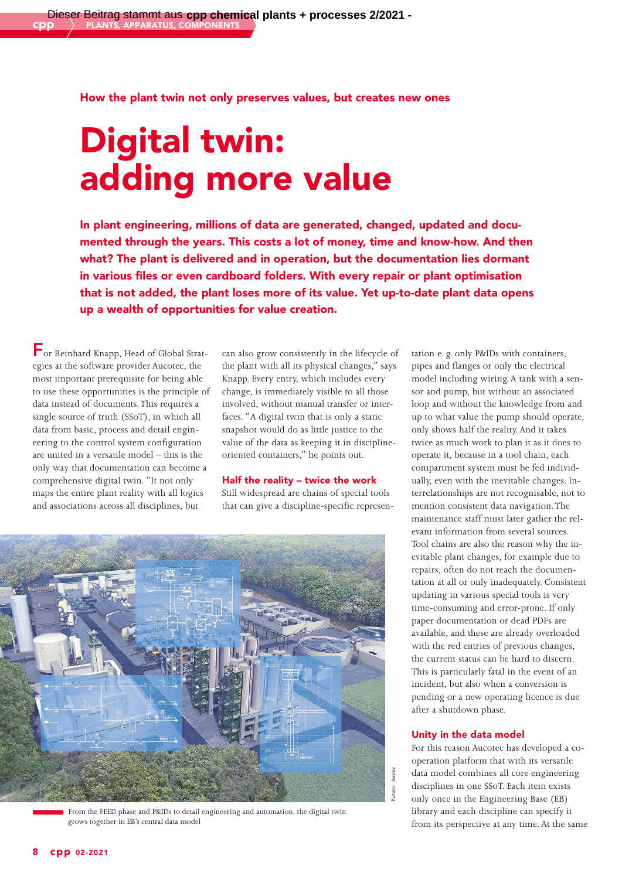# How the plant twin not only preserves values, but creates new ones

# Digital twin: adding more value

In plant engineering, millions of data are generated, changed, updated and documented through the years. This costs a lot of money, time and know-how. And then what? The plant is delivered and in operation, but the documentation lies dormant in various files or even cardboard folders. With every repair or plant optimisation that is not added, the plant loses more of its value. Yet up-to-date plant data opens up a wealth of opportunities for value creation.

For Reinhard Knapp, Head of Global Strategies at the software provider Aucotec, the most important prerequisite for being able to use these opportunities is the principle of data instead of documents. This requires a single source of truth (SSoT), in which all data from basic, process and detail engineering to the control system configuration are united in a versatile model – this is the only way that documentation can become a comprehensive digital twin. "It not only maps the entire plant reality with all logics and associations across all disciplines, but

can also grow consistently in the lifecycle of the plant with all its physical changes," says Knapp. Every entry, which includes every change, is immediately visible to all those involved, without manual transfer or interfaces. "A digital twin that is only a static snapshot would do as little justice to the value of the data as keeping it in disciplineoriented containers," he points out.

### Half the reality – twice the work

Still widespread are chains of special tools that can give a discipline-specific represen-



From the FEED phase and P&IDs to detail engineering and automation, the digital twin grows together in EB's central data model

tation e. g. only P&IDs with containers, pipes and flanges or only the electrical model including wiring. A tank with a sensor and pump, but without an associated loop and without the knowledge from and up to what value the pump should operate, only shows half the reality. And it takes twice as much work to plan it as it does to operate it, because in a tool chain, each compartment system must be fed individually, even with the inevitable changes. Interrelationships are not recognisable, not to mention consistent data navigation. The maintenance staff must later gather the relevant information from several sources. Tool chains are also the reason why the inevitable plant changes, for example due to repairs, often do not reach the documentation at all or only inadequately. Consistent updating in various special tools is very time-consuming and error-prone. If only paper documentation or dead PDFs are available, and these are already overloaded with the red entries of previous changes, the current status can be hard to discern. This is particularly fatal in the event of an incident, but also when a conversion is pending or a new operating licence is due after a shutdown phase.

#### Unity in the data model

For this reason Aucotec has developed a cooperation platform that with its versatile data model combines all core engineering disciplines in one SSoT. Each item exists only once in the Engineering Base (EB) library and each discipline can specify it from its perspective at any time. At the same